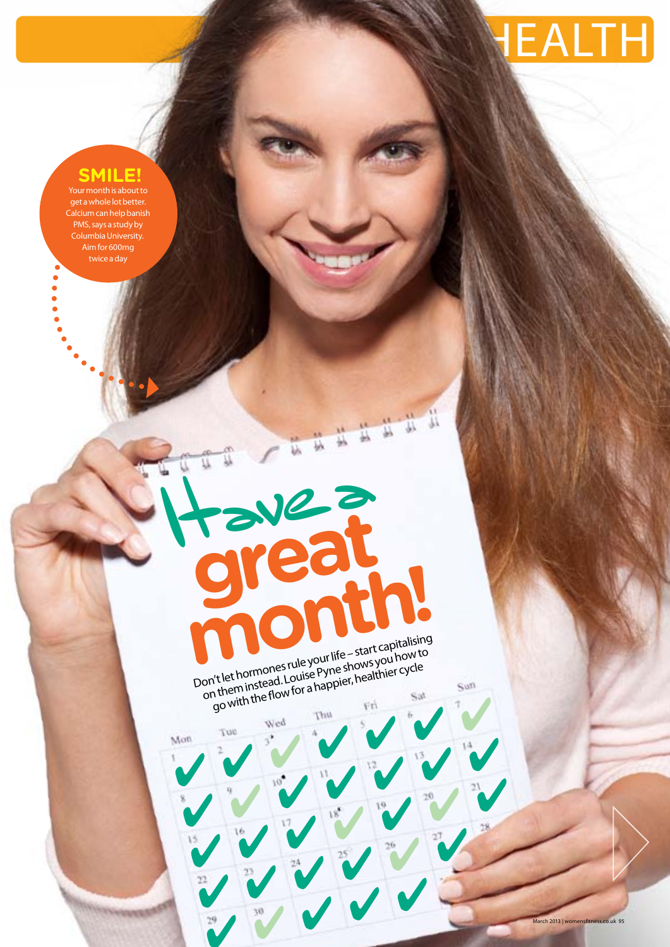

# **SMILE!**

Your month is about to get a whole lot better. Calcium can help banish PMS, says a study by Columbia University. Aim for 600mg twice a day

 $\begin{array}{c} \bullet \\ \bullet \\ \bullet \\ \bullet \end{array}$ 

Don't let hormones rule your life – start capitalising<br>Don't let hormones rule your life – shows you how to on't let hormones rule your life – start curi how to<br>on't let hormones rule your shows you how to<br>on them instead. Louise Pyne shappier, healthier cycle The flormones rule you a shows your cycle<br>ithem instead. Louise Pyne shows your cycle<br>go with the flow for a happier, healthier cycle **month of the Start capitalising** 

**great** 

Havez



March 2013 | womensfitness.co.uk 95

Sun